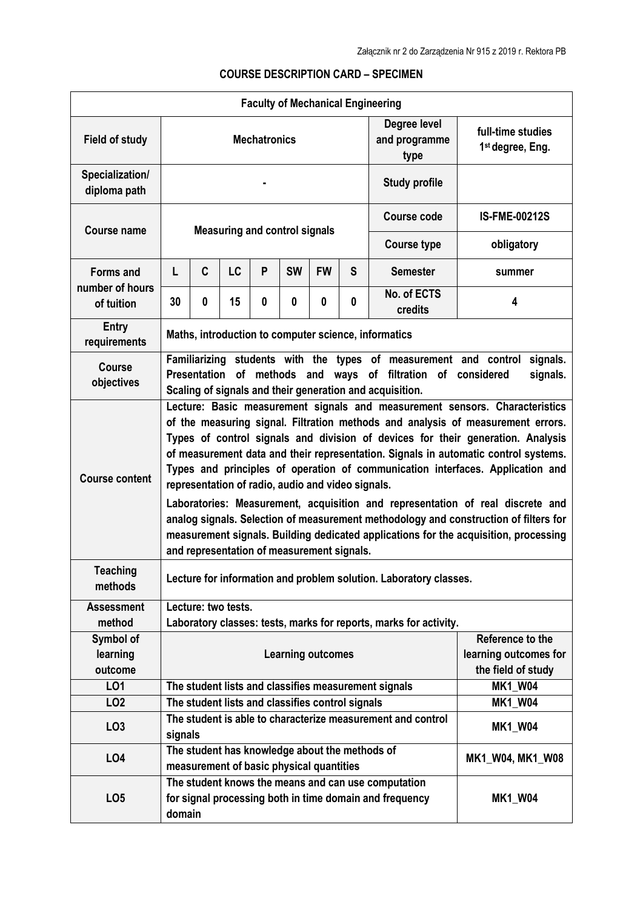| <b>Faculty of Mechanical Engineering</b> |                                                                                                                                                                                                                                                                                                                                                                                                                                                                                                                                                                                                                                                                                                                                                   |                                                                                                                                            |           |   |           |           |   |                                                             |                                                   |  |  |
|------------------------------------------|---------------------------------------------------------------------------------------------------------------------------------------------------------------------------------------------------------------------------------------------------------------------------------------------------------------------------------------------------------------------------------------------------------------------------------------------------------------------------------------------------------------------------------------------------------------------------------------------------------------------------------------------------------------------------------------------------------------------------------------------------|--------------------------------------------------------------------------------------------------------------------------------------------|-----------|---|-----------|-----------|---|-------------------------------------------------------------|---------------------------------------------------|--|--|
| <b>Field of study</b>                    | <b>Mechatronics</b>                                                                                                                                                                                                                                                                                                                                                                                                                                                                                                                                                                                                                                                                                                                               |                                                                                                                                            |           |   |           |           |   | Degree level<br>and programme<br>type                       | full-time studies<br>1 <sup>st</sup> degree, Eng. |  |  |
| Specialization/<br>diploma path          |                                                                                                                                                                                                                                                                                                                                                                                                                                                                                                                                                                                                                                                                                                                                                   |                                                                                                                                            |           |   |           |           |   | <b>Study profile</b>                                        |                                                   |  |  |
| Course name                              | <b>Measuring and control signals</b>                                                                                                                                                                                                                                                                                                                                                                                                                                                                                                                                                                                                                                                                                                              |                                                                                                                                            |           |   |           |           |   | <b>Course code</b>                                          | <b>IS-FME-00212S</b>                              |  |  |
|                                          |                                                                                                                                                                                                                                                                                                                                                                                                                                                                                                                                                                                                                                                                                                                                                   |                                                                                                                                            |           |   |           |           |   | <b>Course type</b>                                          | obligatory                                        |  |  |
| <b>Forms and</b><br>number of hours      | L                                                                                                                                                                                                                                                                                                                                                                                                                                                                                                                                                                                                                                                                                                                                                 | C                                                                                                                                          | <b>LC</b> | P | <b>SW</b> | <b>FW</b> | S | <b>Semester</b>                                             | summer                                            |  |  |
| of tuition                               | 30                                                                                                                                                                                                                                                                                                                                                                                                                                                                                                                                                                                                                                                                                                                                                | $\bf{0}$                                                                                                                                   | 15        | 0 | 0         | 0         | 0 | No. of ECTS<br>credits                                      | 4                                                 |  |  |
| <b>Entry</b><br>requirements             | Maths, introduction to computer science, informatics                                                                                                                                                                                                                                                                                                                                                                                                                                                                                                                                                                                                                                                                                              |                                                                                                                                            |           |   |           |           |   |                                                             |                                                   |  |  |
| Course<br>objectives                     | Familiarizing students with the types of measurement and control<br>signals.<br>Presentation of methods and ways of filtration of considered<br>signals.<br>Scaling of signals and their generation and acquisition.                                                                                                                                                                                                                                                                                                                                                                                                                                                                                                                              |                                                                                                                                            |           |   |           |           |   |                                                             |                                                   |  |  |
| <b>Course content</b>                    | Lecture: Basic measurement signals and measurement sensors. Characteristics<br>of the measuring signal. Filtration methods and analysis of measurement errors.<br>Types of control signals and division of devices for their generation. Analysis<br>of measurement data and their representation. Signals in automatic control systems.<br>Types and principles of operation of communication interfaces. Application and<br>representation of radio, audio and video signals.<br>Laboratories: Measurement, acquisition and representation of real discrete and<br>analog signals. Selection of measurement methodology and construction of filters for<br>measurement signals. Building dedicated applications for the acquisition, processing |                                                                                                                                            |           |   |           |           |   |                                                             |                                                   |  |  |
| <b>Teaching</b><br>methods               | and representation of measurement signals.<br>Lecture for information and problem solution. Laboratory classes.                                                                                                                                                                                                                                                                                                                                                                                                                                                                                                                                                                                                                                   |                                                                                                                                            |           |   |           |           |   |                                                             |                                                   |  |  |
| <b>Assessment</b><br>method              | Lecture: two tests.                                                                                                                                                                                                                                                                                                                                                                                                                                                                                                                                                                                                                                                                                                                               |                                                                                                                                            |           |   |           |           |   |                                                             |                                                   |  |  |
| Symbol of<br>learning<br>outcome         | Laboratory classes: tests, marks for reports, marks for activity.<br>Reference to the<br><b>Learning outcomes</b><br>learning outcomes for<br>the field of study                                                                                                                                                                                                                                                                                                                                                                                                                                                                                                                                                                                  |                                                                                                                                            |           |   |           |           |   |                                                             |                                                   |  |  |
| LO1                                      |                                                                                                                                                                                                                                                                                                                                                                                                                                                                                                                                                                                                                                                                                                                                                   |                                                                                                                                            |           |   |           |           |   | The student lists and classifies measurement signals        | <b>MK1_W04</b>                                    |  |  |
| LO <sub>2</sub>                          | The student lists and classifies control signals<br><b>MK1 W04</b>                                                                                                                                                                                                                                                                                                                                                                                                                                                                                                                                                                                                                                                                                |                                                                                                                                            |           |   |           |           |   |                                                             |                                                   |  |  |
| LO <sub>3</sub>                          | signals                                                                                                                                                                                                                                                                                                                                                                                                                                                                                                                                                                                                                                                                                                                                           |                                                                                                                                            |           |   |           |           |   | The student is able to characterize measurement and control | <b>MK1_W04</b>                                    |  |  |
| LO4                                      |                                                                                                                                                                                                                                                                                                                                                                                                                                                                                                                                                                                                                                                                                                                                                   | The student has knowledge about the methods of<br>MK1_W04, MK1_W08<br>measurement of basic physical quantities                             |           |   |           |           |   |                                                             |                                                   |  |  |
| LO <sub>5</sub>                          |                                                                                                                                                                                                                                                                                                                                                                                                                                                                                                                                                                                                                                                                                                                                                   | The student knows the means and can use computation<br>for signal processing both in time domain and frequency<br><b>MK1_W04</b><br>domain |           |   |           |           |   |                                                             |                                                   |  |  |

## **COURSE DESCRIPTION CARD – SPECIMEN**